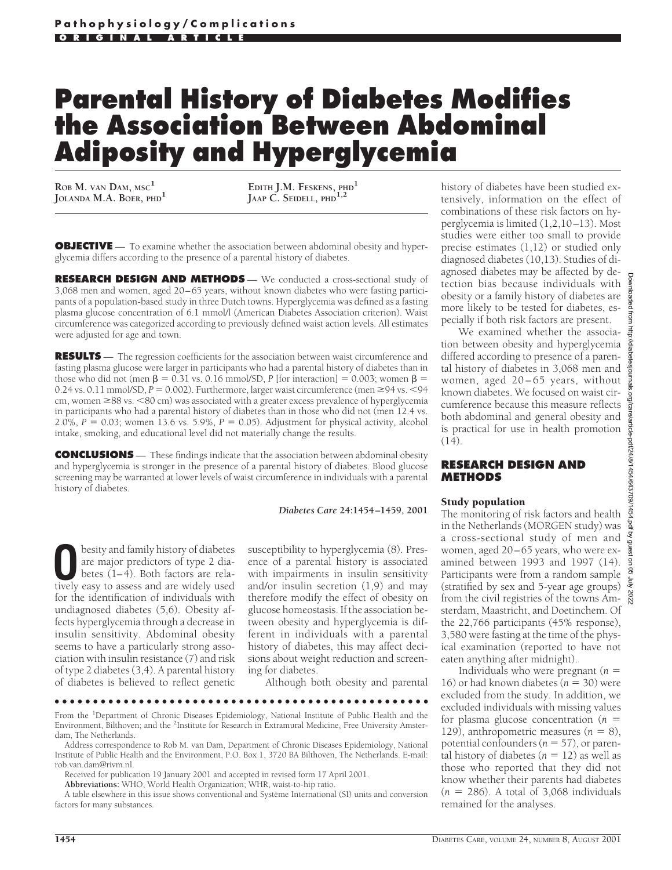# **Parental History of Diabetes Modifies the Association Between Abdominal Adiposity and Hyperglycemia**

**ROB M.** VAN DAM, MSC<sup>1</sup><br>**JOLANDA M.A. BOER, PHD**<sup>1</sup>

 $\text{E}\text{DITH}\text{ J.M.}\ \text{F}\text{E}\text{S}\text{K}\text{ENS}, \ \text{PHD}^\mathbf{1}$ **JAAP C. SEIDELL, PHD1,2**

**OBJECTIVE** — To examine whether the association between abdominal obesity and hyperglycemia differs according to the presence of a parental history of diabetes.

**RESEARCH DESIGN AND METHODS** — We conducted a cross-sectional study of 3,068 men and women, aged 20–65 years, without known diabetes who were fasting participants of a population-based study in three Dutch towns. Hyperglycemia was defined as a fasting plasma glucose concentration of 6.1 mmol/l (American Diabetes Association criterion). Waist circumference was categorized according to previously defined waist action levels. All estimates were adjusted for age and town.

**RESULTS** — The regression coefficients for the association between waist circumference and fasting plasma glucose were larger in participants who had a parental history of diabetes than in those who did not (men  $\beta = 0.31$  vs. 0.16 mmol/SD, *P* [for interaction] = 0.003; women  $\beta$  = 0.24 vs. 0.11 mmol/SD,  $P = 0.002$ ). Furthermore, larger waist circumference (men  $\geq$ 94 vs. <94 cm, women  $\geq$ 88 vs.  $\leq$ 80 cm) was associated with a greater excess prevalence of hyperglycemia in participants who had a parental history of diabetes than in those who did not (men 12.4 vs. 2.0%,  $P = 0.03$ ; women 13.6 vs. 5.9%,  $P = 0.05$ ). Adjustment for physical activity, alcohol intake, smoking, and educational level did not materially change the results.

**CONCLUSIONS** — These findings indicate that the association between abdominal obesity and hyperglycemia is stronger in the presence of a parental history of diabetes. Blood glucose screening may be warranted at lower levels of waist circumference in individuals with a parental history of diabetes.

#### *Diabetes Care* **24:1454–1459, 2001**

**O**besity and family history of diabetes<br>
are major predictors of type 2 dia-<br>
betes (1–4). Both factors are rela-<br>
tively easy to assess and are widely used are major predictors of type 2 diatively easy to assess and are widely used for the identification of individuals with undiagnosed diabetes (5,6). Obesity affects hyperglycemia through a decrease in insulin sensitivity. Abdominal obesity seems to have a particularly strong association with insulin resistance (7) and risk of type 2 diabetes (3,4). A parental history of diabetes is believed to reflect genetic

susceptibility to hyperglycemia (8). Presence of a parental history is associated with impairments in insulin sensitivity and/or insulin secretion  $(1,9)$  and may therefore modify the effect of obesity on glucose homeostasis. If the association between obesity and hyperglycemia is different in individuals with a parental history of diabetes, this may affect decisions about weight reduction and screening for diabetes.

Although both obesity and parental

### ●●●●●●●●●●●●●●●●●●●●●●●●●●●●●●●●●●●●●●●●●●●●●●●●●

From the <sup>1</sup>Department of Chronic Diseases Epidemiology, National Institute of Public Health and the Environment, Bilthoven; and the <sup>2</sup>Institute for Research in Extramural Medicine, Free University Amsterdam, The Netherlands.

Address correspondence to Rob M. van Dam, Department of Chronic Diseases Epidemiology, National Institute of Public Health and the Environment, P.O. Box 1, 3720 BA Bilthoven, The Netherlands. E-mail: rob.van.dam@rivm.nl.

Received for publication 19 January 2001 and accepted in revised form 17 April 2001.

**Abbreviations:** WHO, World Health Organization; WHR, waist-to-hip ratio.

A table elsewhere in this issue shows conventional and Système International (SI) units and conversion factors for many substances.

history of diabetes have been studied extensively, information on the effect of combinations of these risk factors on hyperglycemia is limited (1,2,10–13). Most studies were either too small to provide precise estimates (1,12) or studied only diagnosed diabetes (10,13). Studies of diagnosed diabetes may be affected by detection bias because individuals with obesity or a family history of diabetes are more likely to be tested for diabetes, especially if both risk factors are present.

We examined whether the association between obesity and hyperglycemia differed according to presence of a parental history of diabetes in 3,068 men and women, aged 20–65 years, without known diabetes. We focused on waist circumference because this measure reflects both abdominal and general obesity and is practical for use in health promotion (14).

## **RESEARCH DESIGN AND METHODS**

#### Study population

The monitoring of risk factors and health in the Netherlands (MORGEN study) was a cross-sectional study of men and women, aged 20–65 years, who were examined between 1993 and 1997 (14). Participants were from a random sample (stratified by sex and 5-year age groups) from the civil registries of the towns Amsterdam, Maastricht, and Doetinchem. Of the 22,766 participants (45% response), 3,580 were fasting at the time of the physical examination (reported to have not eaten anything after midnight).

Individuals who were pregnant  $(n =$ 16) or had known diabetes  $(n = 30)$  were excluded from the study. In addition, we excluded individuals with missing values for plasma glucose concentration  $(n =$ 129), anthropometric measures  $(n = 8)$ , potential confounders  $(n = 57)$ , or parental history of diabetes ( $n = 12$ ) as well as those who reported that they did not know whether their parents had diabetes  $(n = 286)$ . A total of 3,068 individuals remained for the analyses.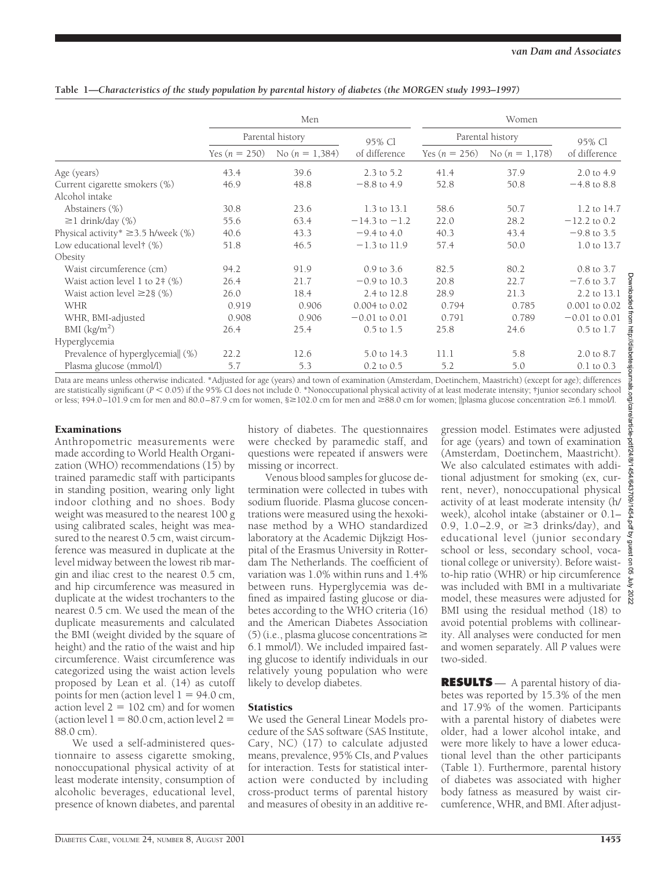|                                          | Men              |                  |                       | Women            |                   |                   |  |
|------------------------------------------|------------------|------------------|-----------------------|------------------|-------------------|-------------------|--|
|                                          | Parental history |                  | 95% Cl                | Parental history |                   | 95% Cl            |  |
|                                          | Yes $(n = 250)$  | No $(n = 1,384)$ | of difference         | Yes $(n = 256)$  | No $(n = 1, 178)$ | of difference     |  |
| Age (years)                              | 43.4             | 39.6             | 2.3 to 5.2            | 41.4             | 37.9              | 2.0 to 4.9        |  |
| Current cigarette smokers (%)            | 46.9             | 48.8             | $-8.8$ to 4.9         | 52.8             | 50.8              | $-4.8$ to 8.8     |  |
| Alcohol intake                           |                  |                  |                       |                  |                   |                   |  |
| Abstainers (%)                           | 30.8             | 23.6             | 1.3 to 13.1           | 58.6             | 50.7              | 1.2 to 14.7       |  |
| $\geq$ 1 drink/day (%)                   | 55.6             | 63.4             | $-14.3$ to $-1.2$     | 22.0             | 28.2              | $-12.2$ to 0.2    |  |
| Physical activity* $\geq$ 3.5 h/week (%) | 40.6             | 43.3             | $-9.4$ to 4.0         | 40.3             | 43.4              | $-9.8$ to 3.5     |  |
| Low educational level† (%)               | 51.8             | 46.5             | $-1.3$ to 11.9        | 57.4             | 50.0              | 1.0 to 13.7       |  |
| Obesity                                  |                  |                  |                       |                  |                   |                   |  |
| Waist circumference (cm)                 | 94.2             | 91.9             | $0.9 \text{ to } 3.6$ | 82.5             | 80.2              | 0.8 to 3.7        |  |
| Waist action level 1 to $2 \ddagger$ (%) | 26.4             | 21.7             | $-0.9$ to 10.3        | 20.8             | 22.7              | $-7.6$ to 3.7     |  |
| Waist action level $\geq$ 28 (%)         | 26.0             | 18.4             | 2.4 to 12.8           | 28.9             | 21.3              | 2.2 to 13.1       |  |
| WHR                                      | 0.919            | 0.906            | 0.004 to 0.02         | 0.794            | 0.785             | 0.001 to 0.02     |  |
| WHR, BMI-adjusted                        | 0.908            | 0.906            | $-0.01$ to $0.01$     | 0.791            | 0.789             | $-0.01$ to $0.01$ |  |
| BMI (kg/m <sup>2</sup> )                 | 26.4             | 25.4             | $0.5$ to $1.5$        | 25.8             | 24.6              | $0.5$ to $1.7$    |  |
| Hyperglycemia                            |                  |                  |                       |                  |                   |                   |  |
| Prevalence of hyperglycemia   (%)        | 22.2             | 12.6             | 5.0 to 14.3           | 11.1             | 5.8               | 2.0 to 8.7        |  |
| Plasma glucose (mmol/l)                  | 5.7              | 5.3              | 0.2 to 0.5            | 5.2              | 5.0               | $0.1$ to $0.3$    |  |

**Table 1—***Characteristics of the study population by parental history of diabetes (the MORGEN study 1993–1997)*

Data are means unless otherwise indicated. \*Adjusted for age (years) and town of examination (Amsterdam, Doetinchem, Maastricht) (except for age); differences are statistically significant ( $P < 0.05$ ) if the 95% CI does not include 0. \*Nonoccupational physical activity of at least moderate intensity; †junior secondary school or less;  $\frac{101.9 \text{ cm}}{101.9 \text{ cm}}$  for men and  $80.0-87.9 \text{ cm}$  for women,  $\geq 102.0 \text{ cm}$  for men and  $\geq 8.0 \text{ cm}$  for women;  $\parallel$ plasma glucose concentration  $\geq 6.1 \text{ mmol/l}$ .

# Examinations

Anthropometric measurements were made according to World Health Organization (WHO) recommendations (15) by trained paramedic staff with participants in standing position, wearing only light indoor clothing and no shoes. Body weight was measured to the nearest 100 g using calibrated scales, height was measured to the nearest 0.5 cm, waist circumference was measured in duplicate at the level midway between the lowest rib margin and iliac crest to the nearest 0.5 cm, and hip circumference was measured in duplicate at the widest trochanters to the nearest 0.5 cm. We used the mean of the duplicate measurements and calculated the BMI (weight divided by the square of height) and the ratio of the waist and hip circumference. Waist circumference was categorized using the waist action levels proposed by Lean et al. (14) as cutoff points for men (action level  $1 = 94.0$  cm, action level  $2 = 102$  cm) and for women (action level  $1 = 80.0$  cm, action level  $2 =$ 88.0 cm).

We used a self-administered questionnaire to assess cigarette smoking, nonoccupational physical activity of at least moderate intensity, consumption of alcoholic beverages, educational level, presence of known diabetes, and parental history of diabetes. The questionnaires were checked by paramedic staff, and questions were repeated if answers were missing or incorrect.

Venous blood samples for glucose determination were collected in tubes with sodium fluoride. Plasma glucose concentrations were measured using the hexokinase method by a WHO standardized laboratory at the Academic Dijkzigt Hospital of the Erasmus University in Rotterdam The Netherlands. The coefficient of variation was 1.0% within runs and 1.4% between runs. Hyperglycemia was defined as impaired fasting glucose or diabetes according to the WHO criteria (16) and the American Diabetes Association  $(5)$  (i.e., plasma glucose concentrations  $\geq$ 6.1 mmol/l). We included impaired fasting glucose to identify individuals in our relatively young population who were likely to develop diabetes.

# **Statistics**

We used the General Linear Models procedure of the SAS software (SAS Institute, Cary, NC) (17) to calculate adjusted means, prevalence, 95% CIs, and *P* values for interaction. Tests for statistical interaction were conducted by including cross-product terms of parental history and measures of obesity in an additive regression model. Estimates were adjusted for age (years) and town of examination (Amsterdam, Doetinchem, Maastricht). We also calculated estimates with additional adjustment for smoking (ex, current, never), nonoccupational physical activity of at least moderate intensity (h/ week), alcohol intake (abstainer or 0.1– 0.9, 1.0–2.9, or  $\geq$ 3 drinks/day), and educational level (junior secondary school or less, secondary school, vocational college or university). Before waistto-hip ratio (WHR) or hip circumference was included with BMI in a multivariate model, these measures were adjusted for  $\frac{8}{8}$ BMI using the residual method (18) to avoid potential problems with collinearity. All analyses were conducted for men and women separately. All *P* values were two-sided.

**RESULTS** — A parental history of diabetes was reported by 15.3% of the men and 17.9% of the women. Participants with a parental history of diabetes were older, had a lower alcohol intake, and were more likely to have a lower educational level than the other participants (Table 1). Furthermore, parental history of diabetes was associated with higher body fatness as measured by waist circumference, WHR, and BMI. After adjust-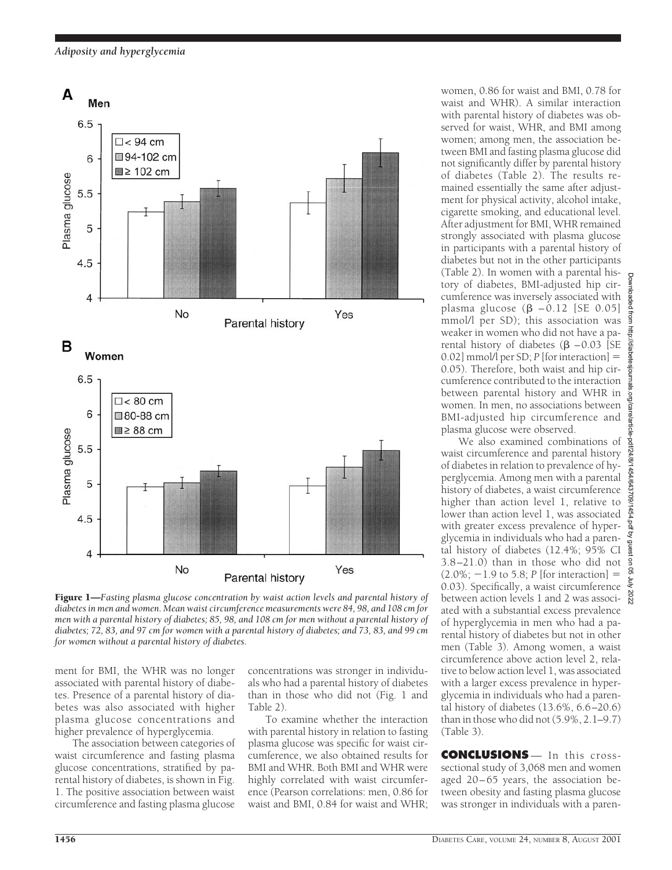*Adiposity and hyperglycemia*



Figure 1—*Fasting plasma glucose concentration by waist action levels and parental history of diabetes in men and women. Mean waist circumference measurements were 84, 98, and 108 cm for men with a parental history of diabetes; 85, 98, and 108 cm for men without a parental history of diabetes; 72, 83, and 97 cm for women with a parental history of diabetes; and 73, 83, and 99 cm for women without a parental history of diabetes.*

ment for BMI, the WHR was no longer associated with parental history of diabetes. Presence of a parental history of diabetes was also associated with higher plasma glucose concentrations and higher prevalence of hyperglycemia.

The association between categories of waist circumference and fasting plasma glucose concentrations, stratified by parental history of diabetes, is shown in Fig. 1. The positive association between waist circumference and fasting plasma glucose concentrations was stronger in individuals who had a parental history of diabetes than in those who did not (Fig. 1 and Table 2).

To examine whether the interaction with parental history in relation to fasting plasma glucose was specific for waist circumference, we also obtained results for BMI and WHR. Both BMI and WHR were highly correlated with waist circumference (Pearson correlations: men, 0.86 for waist and BMI, 0.84 for waist and WHR; women, 0.86 for waist and BMI, 0.78 for waist and WHR). A similar interaction with parental history of diabetes was observed for waist, WHR, and BMI among women; among men, the association between BMI and fasting plasma glucose did not significantly differ by parental history of diabetes (Table 2). The results remained essentially the same after adjustment for physical activity, alcohol intake, cigarette smoking, and educational level. After adjustment for BMI, WHR remained strongly associated with plasma glucose in participants with a parental history of diabetes but not in the other participants (Table 2). In women with a parental history of diabetes, BMI-adjusted hip circumference was inversely associated with plasma glucose  $(\beta -0.12)$  [SE 0.05] mmol/l per SD); this association was weaker in women who did not have a parental history of diabetes  $(\beta - 0.03)$  [SE 0.02] mmol/l per SD;  $P$  [for interaction]  $=$ 0.05). Therefore, both waist and hip circumference contributed to the interaction between parental history and WHR in women. In men, no associations between BMI-adjusted hip circumference and plasma glucose were observed.

We also examined combinations of waist circumference and parental history of diabetes in relation to prevalence of hyperglycemia. Among men with a parental history of diabetes, a waist circumference higher than action level 1, relative to lower than action level 1, was associated with greater excess prevalence of hyperglycemia in individuals who had a parental history of diabetes (12.4%; 95% CI 3.8–21.0) than in those who did not  $(2.0\%; -1.9 \text{ to } 5.8; P \text{ [for interaction]} =$ 0.03). Specifically, a waist circumference between action levels 1 and 2 was associated with a substantial excess prevalence of hyperglycemia in men who had a parental history of diabetes but not in other men (Table 3). Among women, a waist circumference above action level 2, relative to below action level 1, was associated with a larger excess prevalence in hyperglycemia in individuals who had a parental history of diabetes (13.6%, 6.6–20.6) than in those who did not (5.9%, 2.1–9.7) (Table 3).

**CONCLUSIONS** — In this crosssectional study of 3,068 men and women aged 20–65 years, the association between obesity and fasting plasma glucose was stronger in individuals with a paren-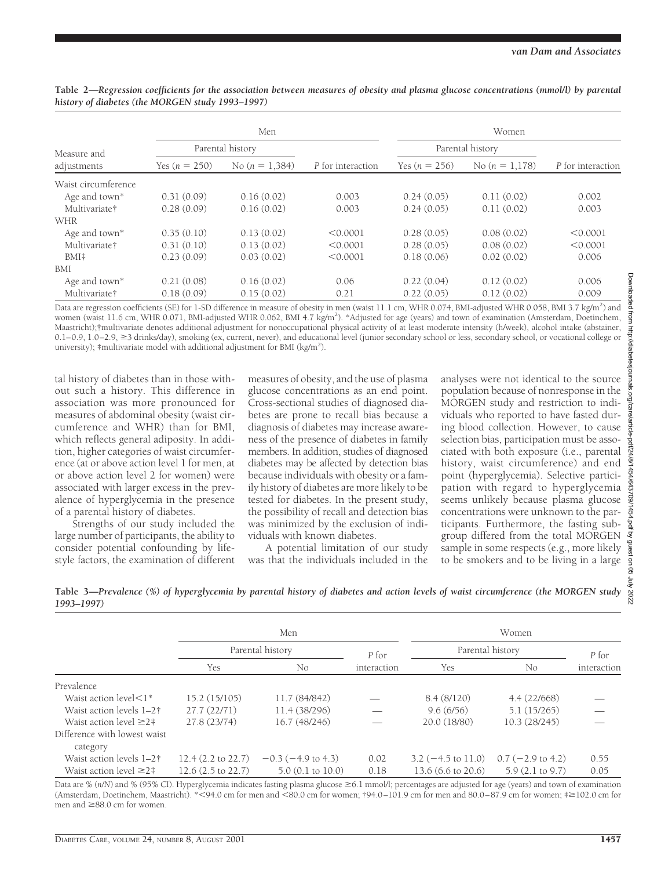|                           |                  | Men              |                   | Women            |                  |                   |  |
|---------------------------|------------------|------------------|-------------------|------------------|------------------|-------------------|--|
| Measure and               | Parental history |                  |                   | Parental history |                  |                   |  |
| adjustments               | Yes $(n = 250)$  | No $(n = 1,384)$ | P for interaction | Yes $(n = 256)$  | No $(n = 1.178)$ | P for interaction |  |
| Waist circumference       |                  |                  |                   |                  |                  |                   |  |
| Age and town*             | 0.31(0.09)       | 0.16(0.02)       | 0.003             | 0.24(0.05)       | 0.11(0.02)       | 0.002             |  |
| Multivariate†             | 0.28(0.09)       | 0.16(0.02)       | 0.003             | 0.24(0.05)       | 0.11(0.02)       | 0.003             |  |
| WHR                       |                  |                  |                   |                  |                  |                   |  |
| Age and town <sup>*</sup> | 0.35(0.10)       | 0.13(0.02)       | < 0.0001          | 0.28(0.05)       | 0.08(0.02)       | < 0.0001          |  |
| Multivariate†             | 0.31(0.10)       | 0.13(0.02)       | < 0.0001          | 0.28(0.05)       | 0.08(0.02)       | < 0.0001          |  |
| BMI#                      | 0.23(0.09)       | 0.03(0.02)       | < 0.0001          | 0.18(0.06)       | 0.02(0.02)       | 0.006             |  |
| <b>BMI</b>                |                  |                  |                   |                  |                  |                   |  |
| Age and town*             | 0.21(0.08)       | 0.16(0.02)       | 0.06              | 0.22(0.04)       | 0.12(0.02)       | 0.006             |  |
| Multivariate†             | 0.18(0.09)       | 0.15(0.02)       | 0.21              | 0.22(0.05)       | 0.12(0.02)       | 0.009             |  |

**Table 2—***Regression coefficients for the association between measures of obesity and plasma glucose concentrations (mmol/l) by parental history of diabetes (the MORGEN study 1993–1997)*

Data are regression coefficients (SE) for 1-SD difference in measure of obesity in men (waist 11.1 cm, WHR 0.074, BMI-adjusted WHR 0.058, BMI 3.7 kg/m<sup>2</sup>) and women (waist 11.6 cm, WHR 0.071, BMI-adjusted WHR 0.062, BMI 4.7 kg/m<sup>2</sup>). \*Adjusted for age (years) and town of examination (Amsterdam, Doetinchem, Maastricht);†multivariate denotes additional adjustment for nonoccupational physical activity of at least moderate intensity (h/week), alcohol intake (abstainer,  $0.1-0.9$ ,  $1.0-2.9$ ,  $\geq 3$  drinks/day), smoking (ex, current, never), and educational level (junior secondary school or less, secondary school, or vocational college or university); #multivariate model with additional adjustment for BMI (kg/m<sup>2</sup>).

tal history of diabetes than in those without such a history. This difference in association was more pronounced for measures of abdominal obesity (waist circumference and WHR) than for BMI, which reflects general adiposity. In addition, higher categories of waist circumference (at or above action level 1 for men, at or above action level 2 for women) were associated with larger excess in the prevalence of hyperglycemia in the presence of a parental history of diabetes.

Strengths of our study included the large number of participants, the ability to consider potential confounding by lifestyle factors, the examination of different measures of obesity, and the use of plasma glucose concentrations as an end point. Cross-sectional studies of diagnosed diabetes are prone to recall bias because a diagnosis of diabetes may increase awareness of the presence of diabetes in family members. In addition, studies of diagnosed diabetes may be affected by detection bias because individuals with obesity or a family history of diabetes are more likely to be tested for diabetes. In the present study, the possibility of recall and detection bias was minimized by the exclusion of individuals with known diabetes.

A potential limitation of our study was that the individuals included in the analyses were not identical to the source population because of nonresponse in the MORGEN study and restriction to individuals who reported to have fasted during blood collection. However, to cause selection bias, participation must be associated with both exposure (i.e., parental history, waist circumference) and end point (hyperglycemia). Selective participation with regard to hyperglycemia seems unlikely because plasma glucose concentrations were unknown to the participants. Furthermore, the fasting subgroup differed from the total MORGEN sample in some respects (e.g., more likely to be smokers and to be living in a large

**Table 3—***Prevalence (%) of hyperglycemia by parental history of diabetes and action levels of waist circumference (the MORGEN study 1993–1997)*

|                                          | Men                          |                         |             | Women                         |                              |             |  |
|------------------------------------------|------------------------------|-------------------------|-------------|-------------------------------|------------------------------|-------------|--|
|                                          | Parental history             |                         | P for       | Parental history              |                              | P for       |  |
|                                          | Yes                          | No.                     | interaction | Yes                           | No                           | interaction |  |
| Prevalence                               |                              |                         |             |                               |                              |             |  |
| Waist action level $\leq$ 1*             | 15.2(15/105)                 | 11.7 (84/842)           |             | 8.4(8/120)                    | 4.4(22/668)                  |             |  |
| Waist action levels 1-2 <sup>†</sup>     | 27.7(22/71)                  | 11.4 (38/296)           |             | 9.6(6/56)                     | 5.1(15/265)                  |             |  |
| Waist action level $\geq 2$ #            | 27.8 (23/74)                 | 16.7(48/246)            |             | 20.0 (18/80)                  | 10.3 (28/245)                |             |  |
| Difference with lowest waist<br>category |                              |                         |             |                               |                              |             |  |
| Waist action levels 1-2 <sup>†</sup>     | $12.4(2.2 \text{ to } 22.7)$ | $-0.3$ ( $-4.9$ to 4.3) | 0.02        | $3.2 (-4.5 \text{ to } 11.0)$ | $0.7 (-2.9 \text{ to } 4.2)$ | 0.55        |  |
| Waist action level $\geq 2$ #            | $12.6(2.5 \text{ to } 22.7)$ | $5.0$ (0.1 to 10.0)     | 0.18        | 13.6 $(6.6 \text{ to } 20.6)$ | $5.9(2.1 \text{ to } 9.7)$   | 0.05        |  |

Data are % (n/N) and % (95% CI). Hyperglycemia indicates fasting plasma glucose ≥6.1 mmol/l; percentages are adjusted for age (years) and town of examination (Amsterdam, Doetinchem, Maastricht). \*<94.0 cm for men and <80.0 cm for women; †94.0–101.9 cm for men and 80.0–87.9 cm for women; ‡≥102.0 cm for men and  $\geq 88.0$  cm for women.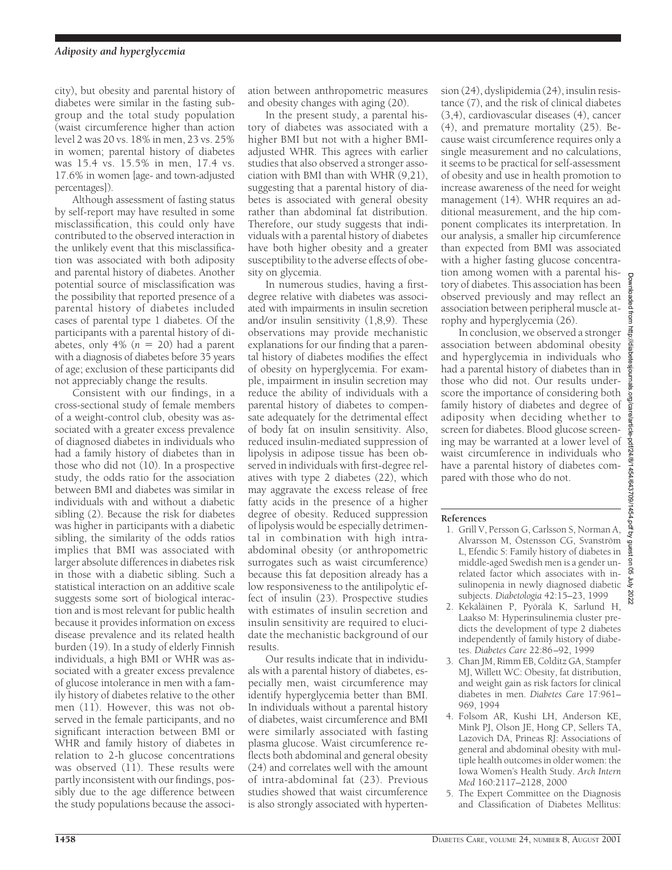city), but obesity and parental history of diabetes were similar in the fasting subgroup and the total study population (waist circumference higher than action level 2 was 20 vs. 18% in men, 23 vs. 25% in women; parental history of diabetes was 15.4 vs. 15.5% in men, 17.4 vs. 17.6% in women [age- and town-adjusted percentages]).

Although assessment of fasting status by self-report may have resulted in some misclassification, this could only have contributed to the observed interaction in the unlikely event that this misclassification was associated with both adiposity and parental history of diabetes. Another potential source of misclassification was the possibility that reported presence of a parental history of diabetes included cases of parental type 1 diabetes. Of the participants with a parental history of diabetes, only 4%  $(n = 20)$  had a parent with a diagnosis of diabetes before 35 years of age; exclusion of these participants did not appreciably change the results.

Consistent with our findings, in a cross-sectional study of female members of a weight-control club, obesity was associated with a greater excess prevalence of diagnosed diabetes in individuals who had a family history of diabetes than in those who did not (10). In a prospective study, the odds ratio for the association between BMI and diabetes was similar in individuals with and without a diabetic sibling (2). Because the risk for diabetes was higher in participants with a diabetic sibling, the similarity of the odds ratios implies that BMI was associated with larger absolute differences in diabetes risk in those with a diabetic sibling. Such a statistical interaction on an additive scale suggests some sort of biological interaction and is most relevant for public health because it provides information on excess disease prevalence and its related health burden (19). In a study of elderly Finnish individuals, a high BMI or WHR was associated with a greater excess prevalence of glucose intolerance in men with a family history of diabetes relative to the other men (11). However, this was not observed in the female participants, and no significant interaction between BMI or WHR and family history of diabetes in relation to 2-h glucose concentrations was observed (11). These results were partly inconsistent with our findings, possibly due to the age difference between the study populations because the association between anthropometric measures and obesity changes with aging (20).

In the present study, a parental history of diabetes was associated with a higher BMI but not with a higher BMIadjusted WHR. This agrees with earlier studies that also observed a stronger association with BMI than with WHR (9,21), suggesting that a parental history of diabetes is associated with general obesity rather than abdominal fat distribution. Therefore, our study suggests that individuals with a parental history of diabetes have both higher obesity and a greater susceptibility to the adverse effects of obesity on glycemia.

In numerous studies, having a firstdegree relative with diabetes was associated with impairments in insulin secretion and/or insulin sensitivity (1,8,9). These observations may provide mechanistic explanations for our finding that a parental history of diabetes modifies the effect of obesity on hyperglycemia. For example, impairment in insulin secretion may reduce the ability of individuals with a parental history of diabetes to compensate adequately for the detrimental effect of body fat on insulin sensitivity. Also, reduced insulin-mediated suppression of lipolysis in adipose tissue has been observed in individuals with first-degree relatives with type 2 diabetes (22), which may aggravate the excess release of free fatty acids in the presence of a higher degree of obesity. Reduced suppression of lipolysis would be especially detrimental in combination with high intraabdominal obesity (or anthropometric surrogates such as waist circumference) because this fat deposition already has a low responsiveness to the antilipolytic effect of insulin (23). Prospective studies with estimates of insulin secretion and insulin sensitivity are required to elucidate the mechanistic background of our results.

Our results indicate that in individuals with a parental history of diabetes, especially men, waist circumference may identify hyperglycemia better than BMI. In individuals without a parental history of diabetes, waist circumference and BMI were similarly associated with fasting plasma glucose. Waist circumference reflects both abdominal and general obesity (24) and correlates well with the amount of intra-abdominal fat (23). Previous studies showed that waist circumference is also strongly associated with hypertension (24), dyslipidemia (24), insulin resistance (7), and the risk of clinical diabetes (3,4), cardiovascular diseases (4), cancer (4), and premature mortality (25). Because waist circumference requires only a single measurement and no calculations, it seems to be practical for self-assessment of obesity and use in health promotion to increase awareness of the need for weight management (14). WHR requires an additional measurement, and the hip component complicates its interpretation. In our analysis, a smaller hip circumference than expected from BMI was associated with a higher fasting glucose concentration among women with a parental history of diabetes. This association has been observed previously and may reflect an association between peripheral muscle atrophy and hyperglycemia (26).

In conclusion, we observed a stronger association between abdominal obesity and hyperglycemia in individuals who had a parental history of diabetes than in those who did not. Our results underscore the importance of considering both family history of diabetes and degree of adiposity when deciding whether to screen for diabetes. Blood glucose screening may be warranted at a lower level of waist circumference in individuals who have a parental history of diabetes compared with those who do not.

# **References**

- 1. Grill V, Persson G, Carlsson S, Norman A, Alvarsson M, Östensson CG, Svanström L, Efendic S: Family history of diabetes in middle-aged Swedish men is a gender unrelated factor which associates with insulinopenia in newly diagnosed diabetic subjects. *Diabetologia* 42:15–23, 1999
- 2. Kekäläinen P, Pyörälä K, Sarlund H, Laakso M: Hyperinsulinemia cluster predicts the development of type 2 diabetes independently of family history of diabetes. *Diabetes Care* 22:86–92, 1999
- 3. Chan JM, Rimm EB, Colditz GA, Stampfer MJ, Willett WC: Obesity, fat distribution, and weight gain as risk factors for clinical diabetes in men. *Diabetes Car*e 17:961– 969, 1994
- 4. Folsom AR, Kushi LH, Anderson KE, Mink PJ, Olson JE, Hong CP, Sellers TA, Lazovich DA, Prineas RJ: Associations of general and abdominal obesity with multiple health outcomes in older women: the Iowa Women's Health Study. *Arch Intern Med* 160:2117–2128, 2000
- 5. The Expert Committee on the Diagnosis and Classification of Diabetes Mellitus: